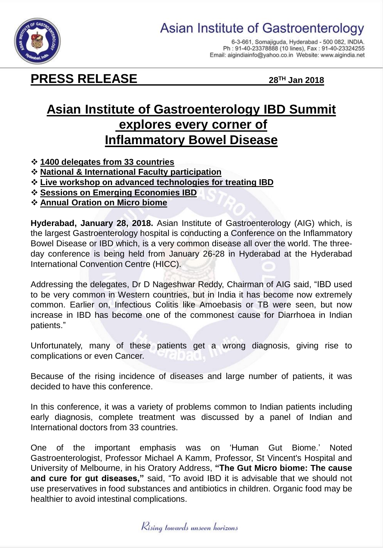



6-3-661, Somajiguda, Hyderabad - 500 082, INDIA. Ph: 91-40-23378888 (10 lines), Fax: 91-40-23324255 Email: aigindiainfo@yahoo.co.in Website: www.aigindia.net

## **PRESS RELEASE 28TH Jan 2018**

## **Asian Institute of Gastroenterology IBD Summit explores every corner of Inflammatory Bowel Disease**

- **1400 delegates from 33 countries**
- **National & International Faculty participation**
- **Live workshop on advanced technologies for treating IBD**
- **Sessions on Emerging Economies IBD**
- **Annual Oration on Micro biome**

**Hyderabad, January 28, 2018.** Asian Institute of Gastroenterology (AIG) which, is the largest Gastroenterology hospital is conducting a Conference on the Inflammatory Bowel Disease or IBD which, is a very common disease all over the world. The threeday conference is being held from January 26-28 in Hyderabad at the Hyderabad International Convention Centre (HICC).

Addressing the delegates, Dr D Nageshwar Reddy, Chairman of AIG said, "IBD used to be very common in Western countries, but in India it has become now extremely common. Earlier on, Infectious Colitis like Amoebasis or TB were seen, but now increase in IBD has become one of the commonest cause for Diarrhoea in Indian patients."

Unfortunately, many of these patients get a wrong diagnosis, giving rise to complications or even Cancer.

Because of the rising incidence of diseases and large number of patients, it was decided to have this conference.

In this conference, it was a variety of problems common to Indian patients including early diagnosis, complete treatment was discussed by a panel of Indian and International doctors from 33 countries.

One of the important emphasis was on 'Human Gut Biome.' Noted Gastroenterologist, Professor Michael A Kamm, Professor, St Vincent's Hospital and University of Melbourne, in his Oratory Address, **"The Gut Micro biome: The cause and cure for gut diseases,"** said, "To avoid IBD it is advisable that we should not use preservatives in food substances and antibiotics in children. Organic food may be healthier to avoid intestinal complications.

Kising towards unseen horizons